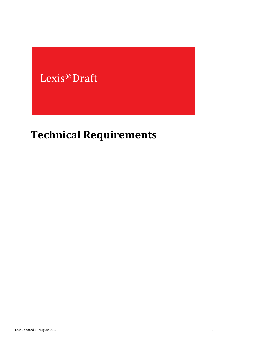## Lexis® Draft

# **Technical Requirements**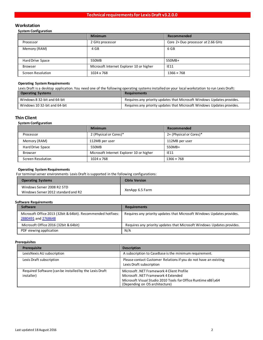## **Workstation**

#### **System Configuration**

|                          | <b>Minimum</b>                           | Recommended                       |
|--------------------------|------------------------------------------|-----------------------------------|
| Processor                | 2 GHz processor                          | Core 2+ Duo processor at 2.66 GHz |
| Memory (RAM)             | 4 GB                                     | 6 GB                              |
| Hard Drive Space         | 550MB                                    | 550MB+                            |
| <b>Browser</b>           | Microsoft Internet Explorer 10 or higher | IE11                              |
| <b>Screen Resolution</b> | 1024 x 768                               | $1366 \times 768$                 |

#### **Operating System Requirements**

Lexis Draft is a desktop application. You need one of the following operating systems installed on your local workstation to run Lexis Draft:

| <b>Operating Systems</b>     | <b>Requirements</b>                                                    |
|------------------------------|------------------------------------------------------------------------|
| Windows 8 32-bit and 64-bit  | Requires any priority updates that Microsoft Windows Updates provides. |
| Windows 10 32-bit and 64-bit | Requires any priority updates that Microsoft Windows Updates provides. |

### **Thin Client**

#### **System Configuration**

|                          | <b>Minimum</b>                           | Recommended             |
|--------------------------|------------------------------------------|-------------------------|
| Processor                | 2 (Physical or Cores)*                   | 2+ (Physical or Cores)* |
| Memory (RAM)             | 112MB per user                           | 112MB per user          |
| Hard Drive Space         | 550MB                                    | 550MB+                  |
| <b>Browser</b>           | Microsoft Internet Explorer 10 or higher | IE11                    |
| <b>Screen Resolution</b> | 1024 x 768                               | $1366 \times 768$       |

#### **Operating System Requirements**

For terminal server environments Lexis Draft is supported in the following configurations:

| <b>Operating Systems</b>                                          | <b>Citrix Version</b> |
|-------------------------------------------------------------------|-----------------------|
| Windows Server 2008 R2 STD<br>Windows Server 2012 standard and R2 | XenApp 6.5 Farm       |

#### **Software Requirements**

| Software                                                                            | <b>Requirements</b>                                                    |
|-------------------------------------------------------------------------------------|------------------------------------------------------------------------|
| Microsoft Office 2013 (32bit & 64bit). Recommended hotfixes:<br>2880491 and 2768648 | Requires any priority updates that Microsoft Windows Updates provides. |
| Microsoft Office 2016 (32bit & 64bit)                                               | Requires any priority updates that Microsoft Windows Updates provides. |
| PDF viewing application                                                             | N/A                                                                    |

#### **Prerequisites**

| Prerequisite                                                         | <b>Description</b>                                                                                                                                                                  |
|----------------------------------------------------------------------|-------------------------------------------------------------------------------------------------------------------------------------------------------------------------------------|
| LexisNexis AU subscription                                           | A subscription to CaseBase is the minimum requirement.                                                                                                                              |
| Lexis Draft subscription                                             | Please contact Customer Relations if you do not have an existing<br>Lexis Draft subscription                                                                                        |
| Required Software (can be installed by the Lexis Draft<br>installer) | Microsoft, NET Framework 4 Client Profile<br>Microsoft .NET Framework 4 Extended<br>Microsoft Visual Studio 2010 Tools for Office Runtime x86\x64<br>(Depending on OS architecture) |